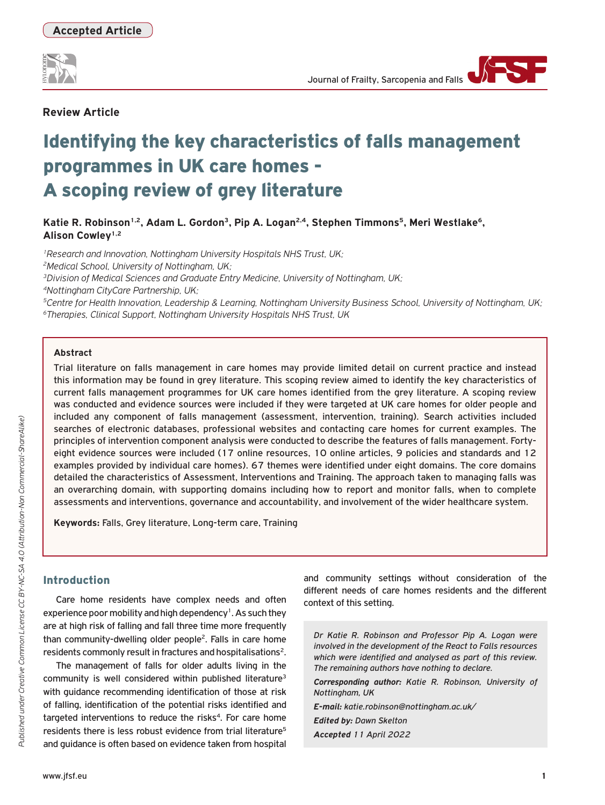

# **Review Article**

# Identifying the key characteristics of falls management programmes in UK care homes - A scoping review of grey literature

Katie R. Robinson<sup>1,2</sup>, Adam L. Gordon<sup>3</sup>, Pip A. Logan<sup>2,4</sup>, Stephen Timmons<sup>5</sup>, Meri Westlake<sup>6</sup>, **Alison Cowley1,2**

*1Research and Innovation, Nottingham University Hospitals NHS Trust, UK; 2Medical School, University of Nottingham, UK; 3Division of Medical Sciences and Graduate Entry Medicine, University of Nottingham, UK; 4Nottingham CityCare Partnership, UK;*

*5Centre for Health Innovation, Leadership & Learning, Nottingham University Business School, University of Nottingham, UK; 6Therapies, Clinical Support, Nottingham University Hospitals NHS Trust, UK*

## **Abstract**

Trial literature on falls management in care homes may provide limited detail on current practice and instead this information may be found in grey literature. This scoping review aimed to identify the key characteristics of current falls management programmes for UK care homes identified from the grey literature. A scoping review was conducted and evidence sources were included if they were targeted at UK care homes for older people and included any component of falls management (assessment, intervention, training). Search activities included searches of electronic databases, professional websites and contacting care homes for current examples. The principles of intervention component analysis were conducted to describe the features of falls management. Fortyeight evidence sources were included (17 online resources, 10 online articles, 9 policies and standards and 12 examples provided by individual care homes). 67 themes were identified under eight domains. The core domains detailed the characteristics of Assessment, Interventions and Training. The approach taken to managing falls was an overarching domain, with supporting domains including how to report and monitor falls, when to complete assessments and interventions, governance and accountability, and involvement of the wider healthcare system.

**Keywords:** Falls, Grey literature, Long-term care, Training

# Introduction

Care home residents have complex needs and often experience poor mobility and high dependency<sup>1</sup>. As such they are at high risk of falling and fall three time more frequently than community-dwelling older people2. Falls in care home residents commonly result in fractures and hospitalisations<sup>2</sup>.

The management of falls for older adults living in the community is well considered within published literature<sup>3</sup> with guidance recommending identification of those at risk of falling, identification of the potential risks identified and targeted interventions to reduce the risks<sup>4</sup>. For care home residents there is less robust evidence from trial literature<sup>5</sup> and guidance is often based on evidence taken from hospital

and community settings without consideration of the different needs of care homes residents and the different context of this setting.

*Dr Katie R. Robinson and Professor Pip A. Logan were involved in the development of the React to Falls resources which were identified and analysed as part of this review. The remaining authors have nothing to declare.*

*Corresponding author: Katie R. Robinson, University of Nottingham, UK* 

*E-mail: katie.robinson@nottingham.ac.uk/ Edited by: Dawn Skelton Accepted 11 April 2022*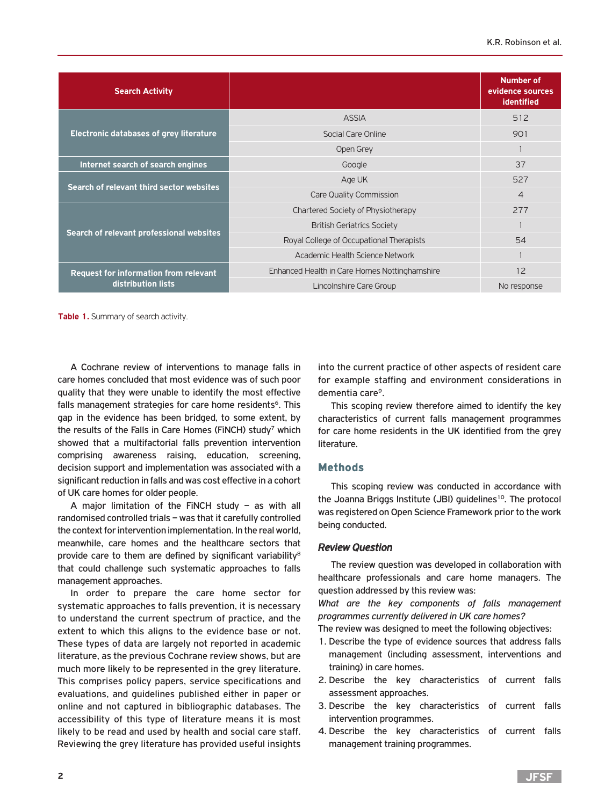| <b>Search Activity</b>                         |                                               | <b>Number of</b><br>evidence sources<br>identified |
|------------------------------------------------|-----------------------------------------------|----------------------------------------------------|
|                                                | <b>ASSIA</b>                                  | 512                                                |
| <b>Electronic databases of grey literature</b> | Social Care Online                            | 901                                                |
|                                                | Open Grey                                     |                                                    |
| Internet search of search engines              | Google                                        | 37                                                 |
|                                                | Age UK                                        | 527                                                |
| Search of relevant third sector websites       | Care Quality Commission                       | $\overline{4}$                                     |
|                                                | Chartered Society of Physiotherapy            | 277                                                |
| Search of relevant professional websites       | <b>British Geriatrics Society</b>             |                                                    |
|                                                | Royal College of Occupational Therapists      | 54                                                 |
|                                                | Academic Health Science Network               |                                                    |
| <b>Request for information from relevant</b>   | Enhanced Health in Care Homes Nottinghamshire | 12                                                 |
| distribution lists                             | Lincolnshire Care Group                       | No response                                        |

**Table 1.** Summary of search activity.

A Cochrane review of interventions to manage falls in care homes concluded that most evidence was of such poor quality that they were unable to identify the most effective falls management strategies for care home residents<sup>6</sup>. This gap in the evidence has been bridged, to some extent, by the results of the Falls in Care Homes (FiNCH) study<sup>7</sup> which showed that a multifactorial falls prevention intervention comprising awareness raising, education, screening, decision support and implementation was associated with a significant reduction in falls and was cost effective in a cohort of UK care homes for older people.

A major limitation of the FiNCH study – as with all randomised controlled trials – was that it carefully controlled the context for intervention implementation. In the real world, meanwhile, care homes and the healthcare sectors that provide care to them are defined by significant variability<sup>8</sup> that could challenge such systematic approaches to falls management approaches.

In order to prepare the care home sector for systematic approaches to falls prevention, it is necessary to understand the current spectrum of practice, and the extent to which this aligns to the evidence base or not. These types of data are largely not reported in academic literature, as the previous Cochrane review shows, but are much more likely to be represented in the grey literature. This comprises policy papers, service specifications and evaluations, and guidelines published either in paper or online and not captured in bibliographic databases. The accessibility of this type of literature means it is most likely to be read and used by health and social care staff. Reviewing the grey literature has provided useful insights into the current practice of other aspects of resident care for example staffing and environment considerations in dementia care9.

This scoping review therefore aimed to identify the key characteristics of current falls management programmes for care home residents in the UK identified from the grey literature.

## Methods

This scoping review was conducted in accordance with the Joanna Briggs Institute (JBI) guidelines<sup>10</sup>. The protocol was registered on Open Science Framework prior to the work being conducted.

## *Review Question*

The review question was developed in collaboration with healthcare professionals and care home managers. The question addressed by this review was:

*What are the key components of falls management programmes currently delivered in UK care homes?* 

The review was designed to meet the following objectives:

- 1. Describe the type of evidence sources that address falls management (including assessment, interventions and training) in care homes.
- 2. Describe the key characteristics of current falls assessment approaches.
- 3. Describe the key characteristics of current falls intervention programmes.
- 4. Describe the key characteristics of current falls management training programmes.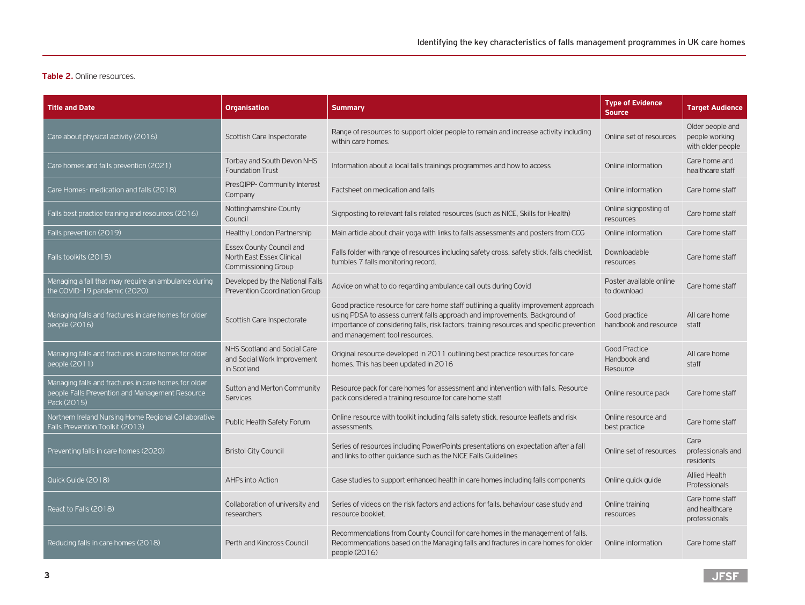## **Table 2.** Online resources.

| <b>Title and Date</b>                                                                                                  | <b>Organisation</b>                                                                        | <b>Summary</b>                                                                                                                                                                                                                                                                                    | <b>Type of Evidence</b><br>Source                | <b>Target Audience</b>                                  |
|------------------------------------------------------------------------------------------------------------------------|--------------------------------------------------------------------------------------------|---------------------------------------------------------------------------------------------------------------------------------------------------------------------------------------------------------------------------------------------------------------------------------------------------|--------------------------------------------------|---------------------------------------------------------|
| Care about physical activity (2016)                                                                                    | Scottish Care Inspectorate                                                                 | Range of resources to support older people to remain and increase activity including<br>within care homes.                                                                                                                                                                                        | Online set of resources                          | Older people and<br>people working<br>with older people |
| Care homes and falls prevention (2021)                                                                                 | Torbay and South Devon NHS<br><b>Foundation Trust</b>                                      | Information about a local falls trainings programmes and how to access                                                                                                                                                                                                                            | Online information                               | Care home and<br>healthcare staff                       |
| Care Homes- medication and falls (2018)                                                                                | PresQIPP- Community Interest<br>Company                                                    | Factsheet on medication and falls                                                                                                                                                                                                                                                                 | Online information                               | Care home staff                                         |
| Falls best practice training and resources (2016)                                                                      | Nottinghamshire County<br>Council                                                          | Signposting to relevant falls related resources (such as NICE, Skills for Health)                                                                                                                                                                                                                 | Online signposting of<br>resources               | Care home staff                                         |
| Falls prevention (2019)                                                                                                | Healthy London Partnership                                                                 | Main article about chair yoga with links to falls assessments and posters from CCG                                                                                                                                                                                                                | Online information                               | Care home staff                                         |
| Falls toolkits (2015)                                                                                                  | <b>Essex County Council and</b><br>North East Essex Clinical<br><b>Commissioning Group</b> | Falls folder with range of resources including safety cross, safety stick, falls checklist,<br>tumbles 7 falls monitoring record.                                                                                                                                                                 | Downloadable<br>resources                        | Care home staff                                         |
| Managing a fall that may require an ambulance during<br>the COVID-19 pandemic (2020)                                   | Developed by the National Falls<br><b>Prevention Coordination Group</b>                    | Advice on what to do regarding ambulance call outs during Covid                                                                                                                                                                                                                                   | Poster available online<br>to download           | Care home staff                                         |
| Managing falls and fractures in care homes for older<br>people (2016)                                                  | Scottish Care Inspectorate                                                                 | Good practice resource for care home staff outlining a quality improvement approach<br>using PDSA to assess current falls approach and improvements. Background of<br>importance of considering falls, risk factors, training resources and specific prevention<br>and management tool resources. | Good practice<br>handbook and resource           | All care home<br>staff                                  |
| Managing falls and fractures in care homes for older<br>people (2011)                                                  | NHS Scotland and Social Care<br>and Social Work Improvement<br>in Scotland                 | Original resource developed in 2011 outlining best practice resources for care<br>homes. This has been updated in 2016                                                                                                                                                                            | <b>Good Practice</b><br>Handbook and<br>Resource | All care home<br>staff                                  |
| Managing falls and fractures in care homes for older<br>people Falls Prevention and Management Resource<br>Pack (2015) | Sutton and Merton Community<br><b>Services</b>                                             | Resource pack for care homes for assessment and intervention with falls. Resource<br>pack considered a training resource for care home staff                                                                                                                                                      | Online resource pack                             | Care home staff                                         |
| Northern Ireland Nursing Home Regional Collaborative<br>Falls Prevention Toolkit (2013)                                | Public Health Safety Forum                                                                 | Online resource with toolkit including falls safety stick, resource leaflets and risk<br>assessments.                                                                                                                                                                                             | Online resource and<br>best practice             | Care home staff                                         |
| Preventing falls in care homes (2020)                                                                                  | <b>Bristol City Council</b>                                                                | Series of resources including PowerPoints presentations on expectation after a fall<br>and links to other guidance such as the NICE Falls Guidelines                                                                                                                                              | Online set of resources                          | Care<br>professionals and<br>residents                  |
| Quick Guide (2018)                                                                                                     | AHPs into Action                                                                           | Case studies to support enhanced health in care homes including falls components                                                                                                                                                                                                                  | Online quick quide                               | <b>Allied Health</b><br>Professionals                   |
| React to Falls (2018)                                                                                                  | Collaboration of university and<br>researchers                                             | Series of videos on the risk factors and actions for falls, behaviour case study and<br>resource booklet.                                                                                                                                                                                         | Online training<br>resources                     | Care home staff<br>and healthcare<br>professionals      |
| Reducing falls in care homes (2018)                                                                                    | Perth and Kincross Council                                                                 | Recommendations from County Council for care homes in the management of falls.<br>Recommendations based on the Managing falls and fractures in care homes for older<br>people (2016)                                                                                                              | Online information                               | Care home staff                                         |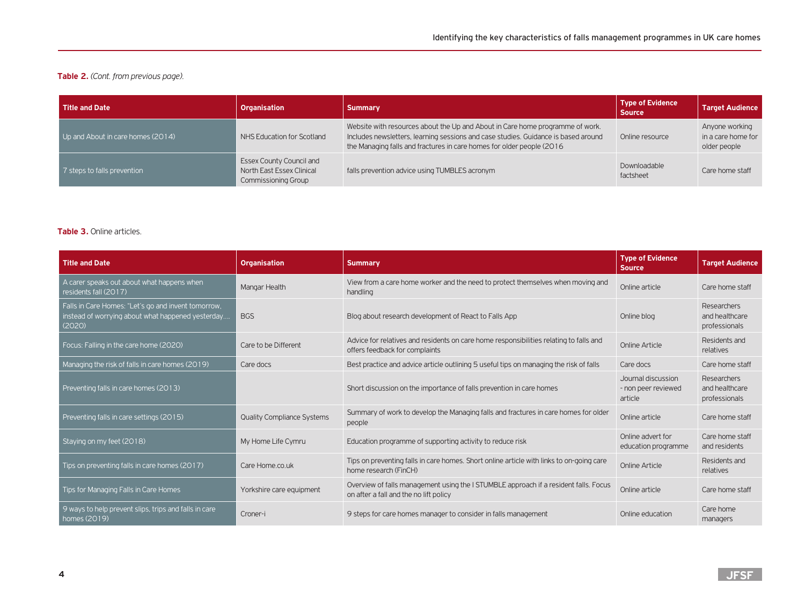# **Table 2.** *(Cont. from previous page).*

| Title and Date                    | <b>Organisation</b>                                                                        | <b>Summary</b>                                                                                                                                                                                                                                | <b>Type of Evidence</b><br><b>Source</b> | <b>Target Audience</b>                               |
|-----------------------------------|--------------------------------------------------------------------------------------------|-----------------------------------------------------------------------------------------------------------------------------------------------------------------------------------------------------------------------------------------------|------------------------------------------|------------------------------------------------------|
| Up and About in care homes (2014) | NHS Education for Scotland                                                                 | Website with resources about the Up and About in Care home programme of work.<br>Includes newsletters, learning sessions and case studies. Guidance is based around<br>the Managing falls and fractures in care homes for older people (2016) | Online resource                          | Anyone working<br>in a care home for<br>older people |
| 7 steps to falls prevention       | <b>Essex County Council and</b><br>North East Essex Clinical<br><b>Commissioning Group</b> | falls prevention advice using TUMBLES acronym                                                                                                                                                                                                 | Downloadable<br>factsheet                | Care home staff                                      |

## **Table 3.** Online articles.

| <b>Title and Date</b>                                                                                              | <b>Organisation</b>               | <b>Summary</b>                                                                                                                 | <b>Type of Evidence</b><br><b>Source</b>             | <b>Target Audience</b>                         |
|--------------------------------------------------------------------------------------------------------------------|-----------------------------------|--------------------------------------------------------------------------------------------------------------------------------|------------------------------------------------------|------------------------------------------------|
| A carer speaks out about what happens when<br>residents fall (2017)                                                | Mangar Health                     | View from a care home worker and the need to protect themselves when moving and<br>handling                                    | Online article                                       | Care home staff                                |
| Falls in Care Homes: "Let's go and invent tomorrow,<br>instead of worrying about what happened yesterday<br>(2020) | <b>BGS</b>                        | Blog about research development of React to Falls App                                                                          | Online blog                                          | Researchers<br>and healthcare<br>professionals |
| Focus: Falling in the care home (2020)                                                                             | Care to be Different              | Advice for relatives and residents on care home responsibilities relating to falls and<br>offers feedback for complaints       | Online Article                                       | Residents and<br>relatives                     |
| Managing the risk of falls in care homes (2019)                                                                    | Care docs                         | Best practice and advice article outlining 5 useful tips on managing the risk of falls                                         | Care docs                                            | Care home staff                                |
| Preventing falls in care homes (2013)                                                                              |                                   | Short discussion on the importance of falls prevention in care homes                                                           | Journal discussion<br>- non peer reviewed<br>article | Researchers<br>and healthcare<br>professionals |
| Preventing falls in care settings (2015)                                                                           | <b>Quality Compliance Systems</b> | Summary of work to develop the Managing falls and fractures in care homes for older<br>people                                  | Online article                                       | Care home staff                                |
| Staying on my feet (2018)                                                                                          | My Home Life Cymru                | Education programme of supporting activity to reduce risk                                                                      | Online advert for<br>education programme             | Care home staff<br>and residents               |
| Tips on preventing falls in care homes (2017)                                                                      | Care Home.co.uk                   | Tips on preventing falls in care homes. Short online article with links to on-going care<br>home research (FinCH)              | Online Article                                       | Residents and<br>relatives                     |
| Tips for Managing Falls in Care Homes                                                                              | Yorkshire care equipment          | Overview of falls management using the I STUMBLE approach if a resident falls. Focus<br>on after a fall and the no lift policy | Online article                                       | Care home staff                                |
| 9 ways to help prevent slips, trips and falls in care<br>homes (2019)                                              | Croner-i                          | 9 steps for care homes manager to consider in falls management                                                                 | Online education                                     | Care home<br>managers                          |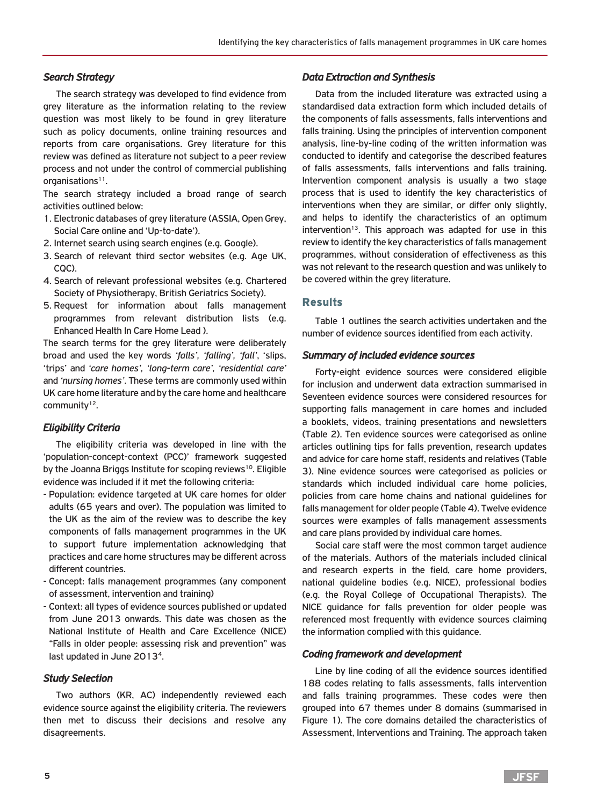## *Search Strategy*

The search strategy was developed to find evidence from grey literature as the information relating to the review question was most likely to be found in grey literature such as policy documents, online training resources and reports from care organisations. Grey literature for this review was defined as literature not subject to a peer review process and not under the control of commercial publishing organisations<sup>11</sup>.

The search strategy included a broad range of search activities outlined below:

- 1. Electronic databases of grey literature (ASSIA, Open Grey, Social Care online and 'Up-to-date').
- 2. Internet search using search engines (e.g. Google).
- 3. Search of relevant third sector websites (e.g. Age UK, CQC).
- 4. Search of relevant professional websites (e.g. Chartered Society of Physiotherapy, British Geriatrics Society).
- 5. Request for information about falls management programmes from relevant distribution lists (e.g. Enhanced Health In Care Home Lead ).

The search terms for the grey literature were deliberately broad and used the key words *'falls', 'falling', 'fall'*, 'slips, 'trips' and *'care homes', 'long-term care', 'residential care'* and *'nursing homes'*. These terms are commonly used within UK care home literature and by the care home and healthcare community<sup>12</sup>.

# *Eligibility Criteria*

The eligibility criteria was developed in line with the 'population-concept-context (PCC)' framework suggested by the Joanna Briggs Institute for scoping reviews<sup>10</sup>. Eligible evidence was included if it met the following criteria:

- Population: evidence targeted at UK care homes for older adults (65 years and over). The population was limited to the UK as the aim of the review was to describe the key components of falls management programmes in the UK to support future implementation acknowledging that practices and care home structures may be different across different countries.
- Concept: falls management programmes (any component of assessment, intervention and training)
- Context: all types of evidence sources published or updated from June 2013 onwards. This date was chosen as the National Institute of Health and Care Excellence (NICE) "Falls in older people: assessing risk and prevention" was last updated in June 2013<sup>4</sup>.

## *Study Selection*

Two authors (KR, AC) independently reviewed each evidence source against the eligibility criteria. The reviewers then met to discuss their decisions and resolve any disagreements.

## *Data Extraction and Synthesis*

Data from the included literature was extracted using a standardised data extraction form which included details of the components of falls assessments, falls interventions and falls training. Using the principles of intervention component analysis, line-by-line coding of the written information was conducted to identify and categorise the described features of falls assessments, falls interventions and falls training. Intervention component analysis is usually a two stage process that is used to identify the key characteristics of interventions when they are similar, or differ only slightly, and helps to identify the characteristics of an optimum  $intervention<sup>13</sup>$ . This approach was adapted for use in this review to identify the key characteristics of falls management programmes, without consideration of effectiveness as this was not relevant to the research question and was unlikely to be covered within the grey literature.

## Results

Table 1 outlines the search activities undertaken and the number of evidence sources identified from each activity.

### *Summary of included evidence sources*

Forty-eight evidence sources were considered eligible for inclusion and underwent data extraction summarised in Seventeen evidence sources were considered resources for supporting falls management in care homes and included a booklets, videos, training presentations and newsletters (Table 2). Ten evidence sources were categorised as online articles outlining tips for falls prevention, research updates and advice for care home staff, residents and relatives (Table 3). Nine evidence sources were categorised as policies or standards which included individual care home policies, policies from care home chains and national guidelines for falls management for older people (Table 4). Twelve evidence sources were examples of falls management assessments and care plans provided by individual care homes.

Social care staff were the most common target audience of the materials. Authors of the materials included clinical and research experts in the field, care home providers, national guideline bodies (e.g. NICE), professional bodies (e.g. the Royal College of Occupational Therapists). The NICE guidance for falls prevention for older people was referenced most frequently with evidence sources claiming the information complied with this guidance.

### *Coding framework and development*

Line by line coding of all the evidence sources identified 188 codes relating to falls assessments, falls intervention and falls training programmes. These codes were then grouped into 67 themes under 8 domains (summarised in Figure 1). The core domains detailed the characteristics of Assessment, Interventions and Training. The approach taken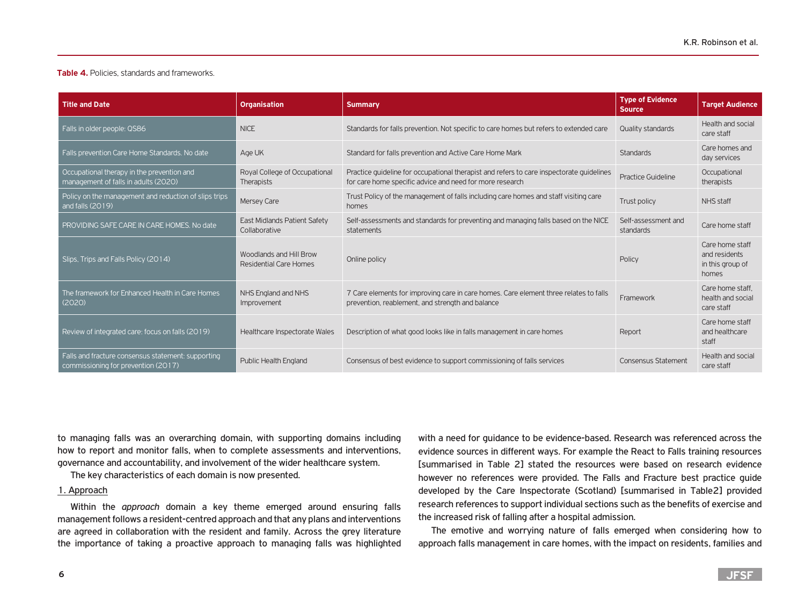#### **Table 4.** Policies, standards and frameworks.

| <b>Title and Date</b>                                                                     | <b>Organisation</b>                                | <b>Summary</b>                                                                                                                                       | <b>Type of Evidence</b><br><b>Source</b> | <b>Target Audience</b>                                        |
|-------------------------------------------------------------------------------------------|----------------------------------------------------|------------------------------------------------------------------------------------------------------------------------------------------------------|------------------------------------------|---------------------------------------------------------------|
| Falls in older people: QS86                                                               | <b>NICE</b>                                        | Standards for falls prevention. Not specific to care homes but refers to extended care                                                               | Quality standards                        | Health and social<br>care staff                               |
| Falls prevention Care Home Standards. No date                                             | Age UK                                             | Standard for falls prevention and Active Care Home Mark                                                                                              | <b>Standards</b>                         | Care homes and<br>day services                                |
| Occupational therapy in the prevention and<br>management of falls in adults (2020)        | Royal College of Occupational<br><b>Therapists</b> | Practice quideline for occupational therapist and refers to care inspectorate quidelines<br>for care home specific advice and need for more research | <b>Practice Guideline</b>                | Occupational<br>therapists                                    |
| Policy on the management and reduction of slips trips<br>and falls (2019)                 | <b>Mersey Care</b>                                 | Trust Policy of the management of falls including care homes and staff visiting care<br>homes                                                        | Trust policy                             | NHS staff                                                     |
| PROVIDING SAFE CARE IN CARE HOMES. No date                                                | East Midlands Patient Safety<br>Collaborative      | Self-assessments and standards for preventing and managing falls based on the NICE<br>statements                                                     | Self-assessment and<br>standards         | Care home staff                                               |
| Slips, Trips and Falls Policy (2014)                                                      | Woodlands and Hill Brow<br>Residential Care Homes  | Online policy                                                                                                                                        | Policy                                   | Care home staff<br>and residents<br>in this group of<br>homes |
| The framework for Enhanced Health in Care Homes<br>(2020)                                 | NHS England and NHS<br>Improvement                 | 7 Care elements for improving care in care homes. Care element three relates to falls<br>prevention, reablement, and strength and balance            | Framework                                | Care home staff.<br>health and social<br>care staff           |
| Review of integrated care: focus on falls (2019)                                          | Healthcare Inspectorate Wales                      | Description of what good looks like in falls management in care homes                                                                                | Report                                   | Care home staff<br>and healthcare<br>staff                    |
| Falls and fracture consensus statement: supporting<br>commissioning for prevention (2017) | <b>Public Health England</b>                       | Consensus of best evidence to support commissioning of falls services                                                                                | <b>Consensus Statement</b>               | Health and social<br>care staff                               |

to managing falls was an overarching domain, with supporting domains including how to report and monitor falls, when to complete assessments and interventions, governance and accountability, and involvement of the wider healthcare system.

The key characteristics of each domain is now presented.

#### 1. Approach

Within the *approach* domain a key theme emerged around ensuring falls management follows a resident-centred approach and that any plans and interventions are agreed in collaboration with the resident and family. Across the grey literature the importance of taking a proactive approach to managing falls was highlighted

with a need for guidance to be evidence-based. Research was referenced across the evidence sources in different ways. For example the React to Falls training resources [summarised in Table 2] stated the resources were based on research evidence however no references were provided. The Falls and Fracture best practice guide developed by the Care Inspectorate (Scotland) [summarised in Table2] provided research references to support individual sections such as the benefits of exercise and the increased risk of falling after a hospital admission.

The emotive and worrying nature of falls emerged when considering how to approach falls management in care homes, with the impact on residents, families and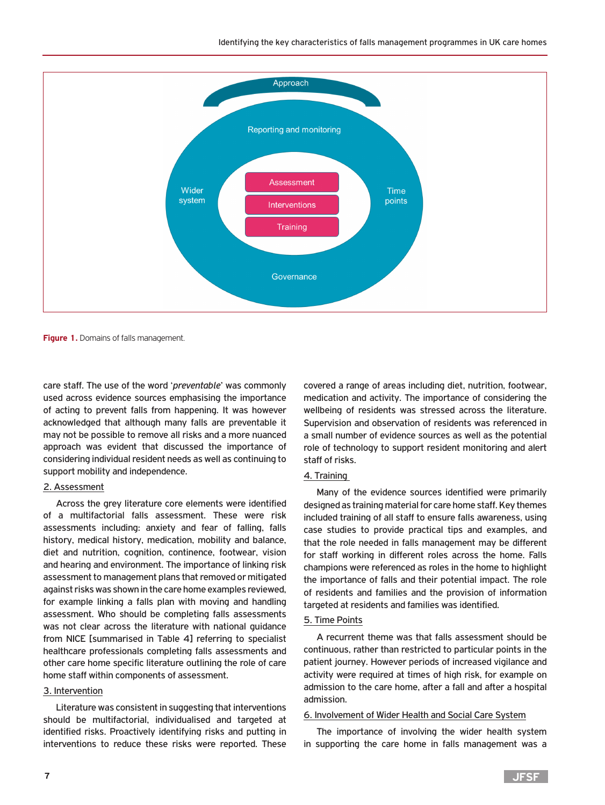

**Figure 1.** Domains of falls management.

care staff. The use of the word '*preventable*' was commonly used across evidence sources emphasising the importance of acting to prevent falls from happening. It was however acknowledged that although many falls are preventable it may not be possible to remove all risks and a more nuanced approach was evident that discussed the importance of considering individual resident needs as well as continuing to support mobility and independence.

## 2. Assessment

Across the grey literature core elements were identified of a multifactorial falls assessment. These were risk assessments including: anxiety and fear of falling, falls history, medical history, medication, mobility and balance, diet and nutrition, cognition, continence, footwear, vision and hearing and environment. The importance of linking risk assessment to management plans that removed or mitigated against risks was shown in the care home examples reviewed, for example linking a falls plan with moving and handling assessment. Who should be completing falls assessments was not clear across the literature with national guidance from NICE [summarised in Table 4] referring to specialist healthcare professionals completing falls assessments and other care home specific literature outlining the role of care home staff within components of assessment.

## 3. Intervention

Literature was consistent in suggesting that interventions should be multifactorial, individualised and targeted at identified risks. Proactively identifying risks and putting in interventions to reduce these risks were reported. These

covered a range of areas including diet, nutrition, footwear, medication and activity. The importance of considering the wellbeing of residents was stressed across the literature. Supervision and observation of residents was referenced in a small number of evidence sources as well as the potential role of technology to support resident monitoring and alert staff of risks.

### 4. Training

Many of the evidence sources identified were primarily designed as training material for care home staff. Key themes included training of all staff to ensure falls awareness, using case studies to provide practical tips and examples, and that the role needed in falls management may be different for staff working in different roles across the home. Falls champions were referenced as roles in the home to highlight the importance of falls and their potential impact. The role of residents and families and the provision of information targeted at residents and families was identified.

#### 5. Time Points

A recurrent theme was that falls assessment should be continuous, rather than restricted to particular points in the patient journey. However periods of increased vigilance and activity were required at times of high risk, for example on admission to the care home, after a fall and after a hospital admission.

#### 6. Involvement of Wider Health and Social Care System

The importance of involving the wider health system in supporting the care home in falls management was a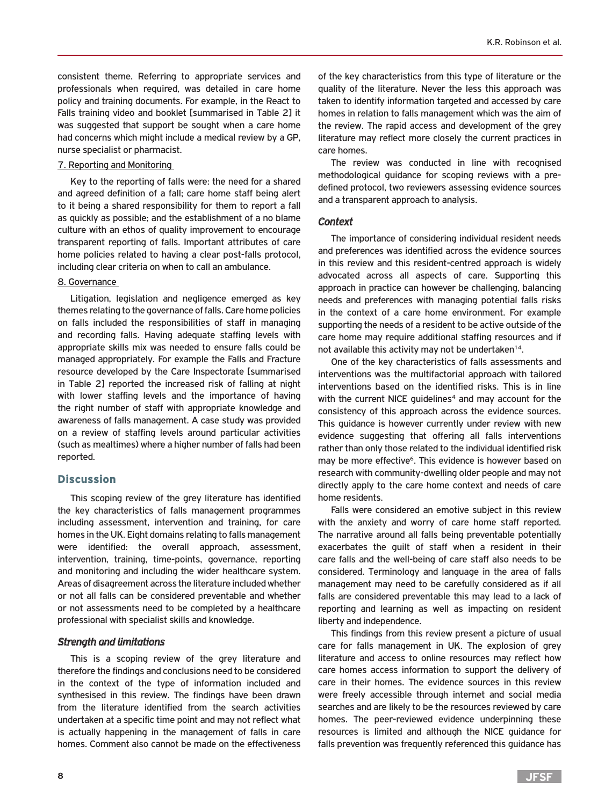consistent theme. Referring to appropriate services and professionals when required, was detailed in care home policy and training documents. For example, in the React to Falls training video and booklet [summarised in Table 2] it was suggested that support be sought when a care home had concerns which might include a medical review by a GP, nurse specialist or pharmacist.

#### 7. Reporting and Monitoring

Key to the reporting of falls were: the need for a shared and agreed definition of a fall; care home staff being alert to it being a shared responsibility for them to report a fall as quickly as possible; and the establishment of a no blame culture with an ethos of quality improvement to encourage transparent reporting of falls. Important attributes of care home policies related to having a clear post-falls protocol, including clear criteria on when to call an ambulance.

## 8. Governance

Litigation, legislation and negligence emerged as key themes relating to the governance of falls. Care home policies on falls included the responsibilities of staff in managing and recording falls. Having adequate staffing levels with appropriate skills mix was needed to ensure falls could be managed appropriately. For example the Falls and Fracture resource developed by the Care Inspectorate [summarised in Table 2] reported the increased risk of falling at night with lower staffing levels and the importance of having the right number of staff with appropriate knowledge and awareness of falls management. A case study was provided on a review of staffing levels around particular activities (such as mealtimes) where a higher number of falls had been reported.

## **Discussion**

This scoping review of the grey literature has identified the key characteristics of falls management programmes including assessment, intervention and training, for care homes in the UK. Eight domains relating to falls management were identified: the overall approach, assessment, intervention, training, time-points, governance, reporting and monitoring and including the wider healthcare system. Areas of disagreement across the literature included whether or not all falls can be considered preventable and whether or not assessments need to be completed by a healthcare professional with specialist skills and knowledge.

### *Strength and limitations*

This is a scoping review of the grey literature and therefore the findings and conclusions need to be considered in the context of the type of information included and synthesised in this review. The findings have been drawn from the literature identified from the search activities undertaken at a specific time point and may not reflect what is actually happening in the management of falls in care homes. Comment also cannot be made on the effectiveness

of the key characteristics from this type of literature or the quality of the literature. Never the less this approach was taken to identify information targeted and accessed by care homes in relation to falls management which was the aim of the review. The rapid access and development of the grey literature may reflect more closely the current practices in care homes.

The review was conducted in line with recognised methodological guidance for scoping reviews with a predefined protocol, two reviewers assessing evidence sources and a transparent approach to analysis.

### *Context*

The importance of considering individual resident needs and preferences was identified across the evidence sources in this review and this resident-centred approach is widely advocated across all aspects of care. Supporting this approach in practice can however be challenging, balancing needs and preferences with managing potential falls risks in the context of a care home environment. For example supporting the needs of a resident to be active outside of the care home may require additional staffing resources and if not available this activity may not be undertaken<sup>14</sup>.

One of the key characteristics of falls assessments and interventions was the multifactorial approach with tailored interventions based on the identified risks. This is in line with the current NICE quidelines<sup>4</sup> and may account for the consistency of this approach across the evidence sources. This guidance is however currently under review with new evidence suggesting that offering all falls interventions rather than only those related to the individual identified risk may be more effective<sup>6</sup>. This evidence is however based on research with community-dwelling older people and may not directly apply to the care home context and needs of care home residents.

Falls were considered an emotive subject in this review with the anxiety and worry of care home staff reported. The narrative around all falls being preventable potentially exacerbates the guilt of staff when a resident in their care falls and the well-being of care staff also needs to be considered. Terminology and language in the area of falls management may need to be carefully considered as if all falls are considered preventable this may lead to a lack of reporting and learning as well as impacting on resident liberty and independence.

This findings from this review present a picture of usual care for falls management in UK. The explosion of grey literature and access to online resources may reflect how care homes access information to support the delivery of care in their homes. The evidence sources in this review were freely accessible through internet and social media searches and are likely to be the resources reviewed by care homes. The peer-reviewed evidence underpinning these resources is limited and although the NICE guidance for falls prevention was frequently referenced this guidance has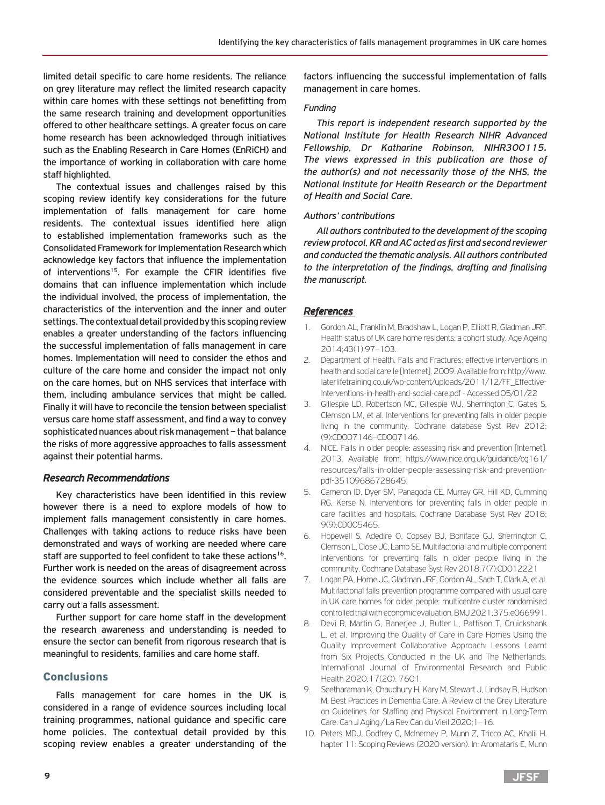limited detail specific to care home residents. The reliance on grey literature may reflect the limited research capacity within care homes with these settings not benefitting from the same research training and development opportunities offered to other healthcare settings. A greater focus on care home research has been acknowledged through initiatives such as the Enabling Research in Care Homes (EnRiCH) and the importance of working in collaboration with care home staff highlighted.

The contextual issues and challenges raised by this scoping review identify key considerations for the future implementation of falls management for care home residents. The contextual issues identified here align to established implementation frameworks such as the Consolidated Framework for Implementation Research which acknowledge key factors that influence the implementation of interventions<sup>15</sup>. For example the CFIR identifies five domains that can influence implementation which include the individual involved, the process of implementation, the characteristics of the intervention and the inner and outer settings. The contextual detail provided by this scoping review enables a greater understanding of the factors influencing the successful implementation of falls management in care homes. Implementation will need to consider the ethos and culture of the care home and consider the impact not only on the care homes, but on NHS services that interface with them, including ambulance services that might be called. Finally it will have to reconcile the tension between specialist versus care home staff assessment, and find a way to convey sophisticated nuances about risk management – that balance the risks of more aggressive approaches to falls assessment against their potential harms.

## *Research Recommendations*

Key characteristics have been identified in this review however there is a need to explore models of how to implement falls management consistently in care homes. Challenges with taking actions to reduce risks have been demonstrated and ways of working are needed where care staff are supported to feel confident to take these actions<sup>16</sup>. Further work is needed on the areas of disagreement across the evidence sources which include whether all falls are considered preventable and the specialist skills needed to carry out a falls assessment.

Further support for care home staff in the development the research awareness and understanding is needed to ensure the sector can benefit from rigorous research that is meaningful to residents, families and care home staff.

## Conclusions

Falls management for care homes in the UK is considered in a range of evidence sources including local training programmes, national guidance and specific care home policies. The contextual detail provided by this scoping review enables a greater understanding of the

factors influencing the successful implementation of falls management in care homes.

#### *Funding*

*This report is independent research supported by the National Institute for Health Research NIHR Advanced Fellowship, Dr Katharine Robinson, NIHR300115. The views expressed in this publication are those of the author(s) and not necessarily those of the NHS, the National Institute for Health Research or the Department of Health and Social Care.* 

### *Authors' contributions*

*All authors contributed to the development of the scoping review protocol, KR and AC acted as first and second reviewer and conducted the thematic analysis. All authors contributed to the interpretation of the findings, drafting and finalising the manuscript.* 

## *References*

- 1. Gordon AL, Franklin M, Bradshaw L, Logan P, Elliott R, Gladman JRF. Health status of UK care home residents: a cohort study. Age Ageing 2014;43(1):97–103.
- 2. Department of Health. Falls and Fractures: effective interventions in health and social care.le [Internet]. 2009. Available from: http://www. laterlifetraining.co.uk/wp-content/uploads/2011/12/FF\_Effective-Interventions-in-health-and-social-care.pdf - Accessed 05/01/22
- 3. Gillespie LD, Robertson MC, Gillespie WJ, Sherrington C, Gates S, Clemson LM, et al. Interventions for preventing falls in older people living in the community. Cochrane database Syst Rev 2012; (9):CD007146–CD007146.
- 4. NICE. Falls in older people: assessing risk and prevention [Internet]. 2013. Available from: https://www.nice.org.uk/guidance/cg161/ resources/falls-in-older-people-assessing-risk-and-preventionpdf-35109686728645.
- 5. Cameron ID, Dyer SM, Panagoda CE, Murray GR, Hill KD, Cumming RG, Kerse N. Interventions for preventing falls in older people in care facilities and hospitals. Cochrane Database Syst Rev 2018; 9(9):CD005465.
- 6. Hopewell S, Adedire O, Copsey BJ, Boniface GJ, Sherrington C, Clemson L, Close JC, Lamb SE. Multifactorial and multiple component interventions for preventing falls in older people living in the community. Cochrane Database Syst Rev 2018;7(7):CD012221
- 7. Logan PA, Horne JC, Gladman JRF, Gordon AL, Sach T, Clark A, et al. Multifactorial falls prevention programme compared with usual care in UK care homes for older people: multicentre cluster randomised controlled trial with economic evaluation. BMJ 2021;375:e066991.
- 8. Devi R, Martin G, Banerjee J, Butler L, Pattison T, Cruickshank L, et al. Improving the Quality of Care in Care Homes Using the Quality Improvement Collaborative Approach: Lessons Learnt from Six Projects Conducted in the UK and The Netherlands. International Journal of Environmental Research and Public Health 2020;17(20): 7601.
- 9. Seetharaman K, Chaudhury H, Kary M, Stewart J, Lindsay B, Hudson M. Best Practices in Dementia Care: A Review of the Grey Literature on Guidelines for Staffing and Physical Environment in Long-Term Care. Can J Aging / La Rev Can du Vieil 2020;1–16.
- 10. Peters MDJ, Godfrey C, McInerney P, Munn Z, Tricco AC, Khalil H. hapter 11: Scoping Reviews (2020 version). In: Aromataris E, Munn